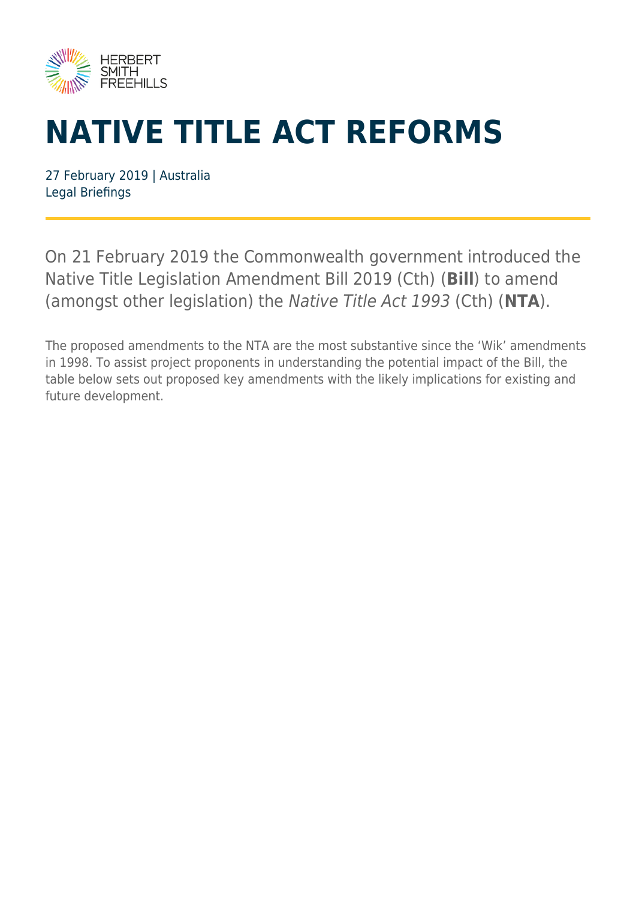

## **NATIVE TITLE ACT REFORMS**

27 February 2019 | Australia Legal Briefings

On 21 February 2019 the Commonwealth government introduced the Native Title Legislation Amendment Bill 2019 (Cth) (**Bill**) to amend (amongst other legislation) the Native Title Act 1993 (Cth) (**NTA**).

The proposed amendments to the NTA are the most substantive since the 'Wik' amendments in 1998. To assist project proponents in understanding the potential impact of the Bill, the table below sets out proposed key amendments with the likely implications for existing and future development.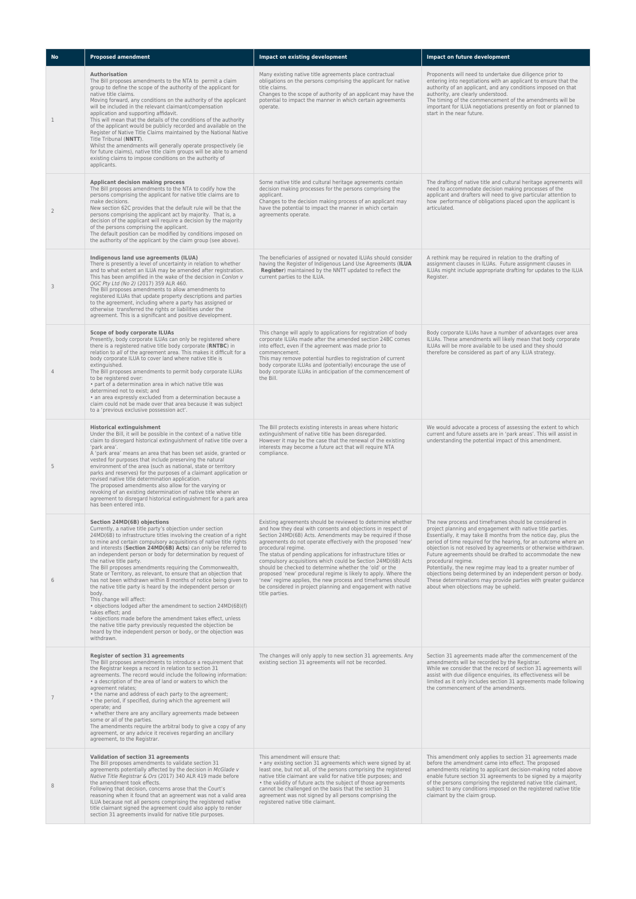| <b>No</b>      | <b>Proposed amendment</b>                                                                                                                                                                                                                                                                                                                                                                                                                                                                                                                                                                                                                                                                                                                                                                                                                                                                                                                                                                                        | Impact on existing development                                                                                                                                                                                                                                                                                                                                                                                                                                                                                                                                                                                                                                                                    | Impact on future development                                                                                                                                                                                                                                                                                                                                                                                                                                                                                                                                                                                                                                 |
|----------------|------------------------------------------------------------------------------------------------------------------------------------------------------------------------------------------------------------------------------------------------------------------------------------------------------------------------------------------------------------------------------------------------------------------------------------------------------------------------------------------------------------------------------------------------------------------------------------------------------------------------------------------------------------------------------------------------------------------------------------------------------------------------------------------------------------------------------------------------------------------------------------------------------------------------------------------------------------------------------------------------------------------|---------------------------------------------------------------------------------------------------------------------------------------------------------------------------------------------------------------------------------------------------------------------------------------------------------------------------------------------------------------------------------------------------------------------------------------------------------------------------------------------------------------------------------------------------------------------------------------------------------------------------------------------------------------------------------------------------|--------------------------------------------------------------------------------------------------------------------------------------------------------------------------------------------------------------------------------------------------------------------------------------------------------------------------------------------------------------------------------------------------------------------------------------------------------------------------------------------------------------------------------------------------------------------------------------------------------------------------------------------------------------|
| $\mathbf{1}$   | Authorisation<br>The Bill proposes amendments to the NTA to permit a claim<br>group to define the scope of the authority of the applicant for<br>native title claims.<br>Moving forward, any conditions on the authority of the applicant<br>will be included in the relevant claimant/compensation<br>application and supporting affidavit.<br>This will mean that the details of the conditions of the authority<br>of the applicant would be publicly recorded and available on the<br>Register of Native Title Claims maintained by the National Native<br>Title Tribunal (NNTT).<br>Whilst the amendments will generally operate prospectively (ie<br>for future claims), native title claim groups will be able to amend<br>existing claims to impose conditions on the authority of<br>applicants.                                                                                                                                                                                                        | Many existing native title agreements place contractual<br>obligations on the persons comprising the applicant for native<br>title claims.<br>Changes to the scope of authority of an applicant may have the<br>potential to impact the manner in which certain agreements<br>operate.                                                                                                                                                                                                                                                                                                                                                                                                            | Proponents will need to undertake due diligence prior to<br>entering into negotiations with an applicant to ensure that the<br>authority of an applicant, and any conditions imposed on that<br>authority, are clearly understood.<br>The timing of the commencement of the amendments will be<br>important for ILUA negotiations presently on foot or planned to<br>start in the near future.                                                                                                                                                                                                                                                               |
| $\overline{2}$ | Applicant decision making process<br>The Bill proposes amendments to the NTA to codify how the<br>persons comprising the applicant for native title claims are to<br>make decisions.<br>New section 62C provides that the default rule will be that the<br>persons comprising the applicant act by majority. That is, a<br>decision of the applicant will require a decision by the majority<br>of the persons comprising the applicant.<br>The default position can be modified by conditions imposed on<br>the authority of the applicant by the claim group (see above).                                                                                                                                                                                                                                                                                                                                                                                                                                      | Some native title and cultural heritage agreements contain<br>decision making processes for the persons comprising the<br>applicant.<br>Changes to the decision making process of an applicant may<br>have the potential to impact the manner in which certain<br>agreements operate.                                                                                                                                                                                                                                                                                                                                                                                                             | The drafting of native title and cultural heritage agreements will<br>need to accommodate decision making processes of the<br>applicant and drafters will need to give particular attention to<br>how performance of obligations placed upon the applicant is<br>articulated.                                                                                                                                                                                                                                                                                                                                                                                |
| 3              | Indigenous land use agreements (ILUA)<br>There is presently a level of uncertainty in relation to whether<br>and to what extent an ILUA may be amended after registration.<br>This has been amplified in the wake of the decision in Conlon v<br>QGC Pty Ltd (No 2) (2017) 359 ALR 460.<br>The Bill proposes amendments to allow amendments to<br>registered ILUAs that update property descriptions and parties<br>to the agreement, including where a party has assigned or<br>otherwise transferred the rights or liabilities under the<br>agreement. This is a significant and positive development.                                                                                                                                                                                                                                                                                                                                                                                                         | The beneficiaries of assigned or novated ILUAs should consider<br>having the Register of Indigenous Land Use Agreements (ILUA<br>Register) maintained by the NNTT updated to reflect the<br>current parties to the ILUA.                                                                                                                                                                                                                                                                                                                                                                                                                                                                          | A rethink may be required in relation to the drafting of<br>assignment clauses in ILUAs. Future assignment clauses in<br>ILUAs might include appropriate drafting for updates to the ILUA<br>Register.                                                                                                                                                                                                                                                                                                                                                                                                                                                       |
| $\overline{4}$ | Scope of body corporate ILUAs<br>Presently, body corporate ILUAs can only be registered where<br>there is a registered native title body corporate (RNTBC) in<br>relation to all of the agreement area. This makes it difficult for a<br>body corporate ILUA to cover land where native title is<br>extinguished.<br>The Bill proposes amendments to permit body corporate ILUAs<br>to be registered over:<br>· part of a determination area in which native title was<br>determined not to exist; and<br>· an area expressly excluded from a determination because a<br>claim could not be made over that area because it was subject<br>to a 'previous exclusive possession act'.                                                                                                                                                                                                                                                                                                                              | This change will apply to applications for registration of body<br>corporate ILUAs made after the amended section 24BC comes<br>into effect, even if the agreement was made prior to<br>commencement.<br>This may remove potential hurdles to registration of current<br>body corporate ILUAs and (potentially) encourage the use of<br>body corporate ILUAs in anticipation of the commencement of<br>the Bill.                                                                                                                                                                                                                                                                                  | Body corporate ILUAs have a number of advantages over area<br>ILUAs. These amendments will likely mean that body corporate<br>ILUAs will be more available to be used and they should<br>therefore be considered as part of any ILUA strategy.                                                                                                                                                                                                                                                                                                                                                                                                               |
| 5              | <b>Historical extinguishment</b><br>Under the Bill, it will be possible in the context of a native title<br>claim to disregard historical extinguishment of native title over a<br>'park area'.<br>A 'park area' means an area that has been set aside, granted or<br>vested for purposes that include preserving the natural<br>environment of the area (such as national, state or territory<br>parks and reserves) for the purposes of a claimant application or<br>revised native title determination application.<br>The proposed amendments also allow for the varying or<br>revoking of an existing determination of native title where an<br>agreement to disregard historical extinguishment for a park area<br>has been entered into.                                                                                                                                                                                                                                                                  | The Bill protects existing interests in areas where historic<br>extinguishment of native title has been disregarded.<br>However it may be the case that the renewal of the existing<br>interests may become a future act that will require NTA<br>compliance.                                                                                                                                                                                                                                                                                                                                                                                                                                     | We would advocate a process of assessing the extent to which<br>current and future assets are in 'park areas'. This will assist in<br>understanding the potential impact of this amendment.                                                                                                                                                                                                                                                                                                                                                                                                                                                                  |
| 6              | Section 24MD(6B) objections<br>Currently, a native title party's objection under section<br>24MD(6B) to infrastructure titles involving the creation of a right<br>to mine and certain compulsory acquisitions of native title rights<br>and interests (Section 24MD(6B) Acts) can only be referred to<br>an independent person or body for determination by request of<br>the native title party.<br>The Bill proposes amendments requiring the Commonwealth,<br>State or Territory, as relevant, to ensure that an objection that<br>has not been withdrawn within 8 months of notice being given to<br>the native title party is heard by the independent person or<br>body.<br>This change will affect:<br>• objections lodged after the amendment to section 24MD(6B)(f)<br>takes effect; and<br>· objections made before the amendment takes effect, unless<br>the native title party previously requested the objection be<br>heard by the independent person or body, or the objection was<br>withdrawn. | Existing agreements should be reviewed to determine whether<br>and how they deal with consents and objections in respect of<br>Section 24MD(6B) Acts. Amendments may be required if those<br>agreements do not operate effectively with the proposed 'new'<br>procedural regime.<br>The status of pending applications for infrastructure titles or<br>compulsory acquisitions which could be Section 24MD(6B) Acts<br>should be checked to determine whether the 'old' or the<br>proposed 'new' procedural regime is likely to apply. Where the<br>'new' regime applies, the new process and timeframes should<br>be considered in project planning and engagement with native<br>title parties. | The new process and timeframes should be considered in<br>project planning and engagement with native title parties.<br>Essentially, it may take 8 months from the notice day, plus the<br>period of time required for the hearing, for an outcome where an<br>objection is not resolved by agreements or otherwise withdrawn.<br>Future agreements should be drafted to accommodate the new<br>procedural regime.<br>Potentially, the new regime may lead to a greater number of<br>objections being determined by an independent person or body.<br>These determinations may provide parties with greater guidance<br>about when objections may be upheld. |
| 7              | Register of section 31 agreements<br>The Bill proposes amendments to introduce a requirement that<br>the Registrar keeps a record in relation to section 31<br>agreements. The record would include the following information:<br>• a description of the area of land or waters to which the<br>agreement relates;<br>• the name and address of each party to the agreement;<br>• the period, if specified, during which the agreement will<br>operate; and<br>• whether there are any ancillary agreements made between<br>some or all of the parties.<br>The amendments require the arbitral body to give a copy of any<br>agreement, or any advice it receives regarding an ancillary<br>agreement, to the Registrar.                                                                                                                                                                                                                                                                                         | The changes will only apply to new section 31 agreements. Any<br>existing section 31 agreements will not be recorded.                                                                                                                                                                                                                                                                                                                                                                                                                                                                                                                                                                             | Section 31 agreements made after the commencement of the<br>amendments will be recorded by the Registrar.<br>While we consider that the record of section 31 agreements will<br>assist with due diligence enquiries, its effectiveness will be<br>limited as it only includes section 31 agreements made following<br>the commencement of the amendments.                                                                                                                                                                                                                                                                                                    |
| 8              | Validation of section 31 agreements<br>The Bill proposes amendments to validate section 31<br>agreements potentially affected by the decision in McGlade v<br>Native Title Registrar & Ors (2017) 340 ALR 419 made before<br>the amendment took effects.<br>Following that decision, concerns arose that the Court's<br>reasoning when it found that an agreement was not a valid area<br>ILUA because not all persons comprising the registered native<br>title claimant signed the agreement could also apply to render<br>section 31 agreements invalid for native title purposes.                                                                                                                                                                                                                                                                                                                                                                                                                            | This amendment will ensure that:<br>• any existing section 31 agreements which were signed by at<br>least one, but not all, of the persons comprising the registered<br>native title claimant are valid for native title purposes; and<br>• the validity of future acts the subject of those agreements<br>cannot be challenged on the basis that the section 31<br>agreement was not signed by all persons comprising the<br>registered native title claimant.                                                                                                                                                                                                                                   | This amendment only applies to section 31 agreements made<br>before the amendment came into effect. The proposed<br>amendments relating to applicant decision-making noted above<br>enable future section 31 agreements to be signed by a majority<br>of the persons comprising the registered native title claimant,<br>subject to any conditions imposed on the registered native title<br>claimant by the claim group.                                                                                                                                                                                                                                    |